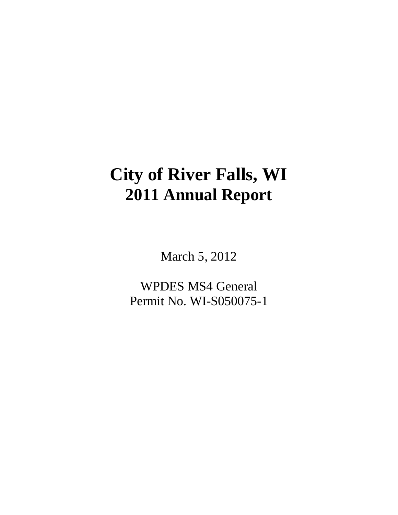# **City of River Falls, WI 2011 Annual Report**

March 5, 2012

WPDES MS4 General Permit No. WI-S050075-1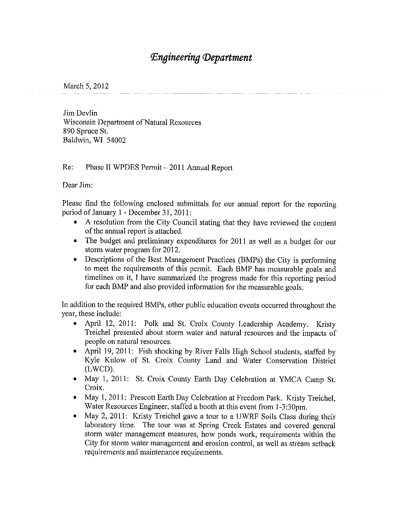## **Engineering Department**

March 5, 2012

Jim Devlin Wisconsin Department of Natural Resources 890 Spruce St. Baldwin, WI 54002

 $Re:$ Phase II WPDES Permit - 2011 Annual Report

Dear Jim:

Please find the following enclosed submittals for our annual report for the reporting period of January 1 - December 31, 2011:

- A resolution from the City Council stating that they have reviewed the content of the annual report is attached.
- The budget and preliminary expenditures for 2011 as well as a budget for our storm water program for 2012.
- Descriptions of the Best Management Practices (BMPs) the City is performing  $\bullet$ to meet the requirements of this permit. Each BMP has measurable goals and timelines on it, I have summarized the progress made for this reporting period for each BMP and also provided information for the measurable goals.

In addition to the required BMPs, other public education events occurred throughout the year, these include:

- April 12, 2011: Polk and St. Croix County Leadership Academy. Kristy Treichel presented about storm water and natural resources and the impacts of people on natural resources.
- April 19, 2011: Fish shocking by River Falls High School students, staffed by Kyle Kulow of St. Croix County Land and Water Conservation District (LWCD).
- May 1, 2011: St. Croix County Earth Day Celebration at YMCA Camp St. Croix.
- May 1, 2011: Prescott Earth Day Celebration at Freedom Park. Kristy Treichel,  $\bullet$ Water Resources Engineer, staffed a booth at this event from 1-3:30pm.
- May 2, 2011: Kristy Treichel gave a tour to a UWRF Soils Class during their laboratory time. The tour was at Spring Creek Estates and covered general storm water management measures, how ponds work, requirements within the City for storm water management and erosion control, as well as stream setback requirements and maintenance requirements.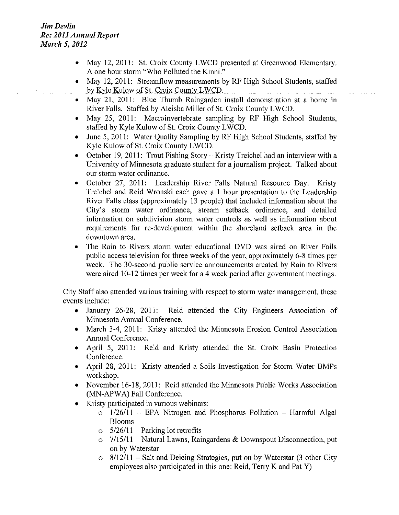- May 12, 2011: St. Croix County LWCD presented at Greenwood Elementary. A one hour storm "Who Polluted the Kinni."
- May 12, 2011: Streamflow measurements by RF High School Students, staffed by Kyle Kulow of St. Croix County LWCD.
- May 21, 2011: Blue Thumb Raingarden install demonstration at a home in River Falls. Staffed by Aleisha Miller of St. Croix County LWCD.
- May 25, 2011: Macroinvertebrate sampling by RF High School Students, staffed by Kyle Kulow of St. Croix County LWCD.
- June 5, 2011: Water Quality Sampling by RF High School Students, staffed by Kyle Kulow of St. Croix County LWCD.
- October 19, 2011: Trout Fishing Story Kristy Treichel had an interview with a University of Minnesota graduate student for a journalism project. Talked about our storm water ordinance.
- October 27, 2011: Leadership River Falls Natural Resource Day. Kristy Treichel and Reid Wronski each gave a 1 hour presentation to the Leadership River Falls class (approximately 13 people) that included information about the City's storm water ordinance, stream setback ordinance, and detailed information on subdivision storm water controls as well as information about requirements for re-development within the shoreland setback area in the downtown area.
- The Rain to Rivers storm water educational DVD was aired on River Falls public access television for three weeks of the year, approximately 6-8 times per week. The 30-second public service announcements created by Rain to Rivers were aired 10-12 times per week for a 4 week period after government meetings.

City Staff also attended various training with respect to storm water management, these events include:

- January 26-28, 2011: Reid attended the City Engineers Association of Minnesota Annual Conference.
- March 3-4, 2011: Kristy attended the Minnesota Erosion Control Association  $\bullet$ Annual Conference.
- $\bullet$  April 5, 2011: Reid and Kristy attended the St. Croix Basin Protection Conference.
- April 28, 2011: Kristy attended a Soils Investigation for Storm Water BMPs workshop.
- November 16-18, 2011: Reid attended the Minnesota Public Works Association (MN-APWA) Fall Conference.
- Kristy participated in various webinars:
	- $\circ$  1/26/11 EPA Nitrogen and Phosphorus Pollution Harmful Algal **Blooms**
	- $\circ$  5/26/11 Parking lot retrofits
	- $\circ$  7/15/11 Natural Lawns, Raingardens & Downspout Disconnection, put on by Waterstar
	- $\circ$  8/12/11 Salt and Deicing Strategies, put on by Waterstar (3 other City employees also participated in this one: Reid, Terry K and Pat Y)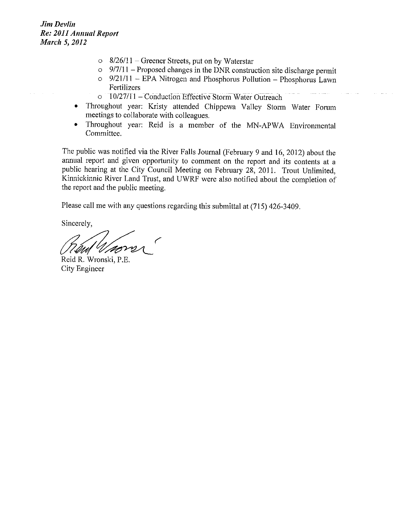- $\circ$  8/26/11 Greener Streets, put on by Waterstar
- $\circ$  9/7/11 Proposed changes in the DNR construction site discharge permit
- $\circ$  9/21/11 EPA Nitrogen and Phosphorus Pollution Phosphorus Lawn Fertilizers
- o 10/27/11 Conduction Effective Storm Water Outreach
- Throughout year: Kristy attended Chippewa Valley Storm Water Forum meetings to collaborate with colleagues.
- Throughout year: Reid is a member of the MN-APWA Environmental  $\bullet$ Committee.

The public was notified via the River Falls Journal (February 9 and 16, 2012) about the annual report and given opportunity to comment on the report and its contents at a public hearing at the City Council Meeting on February 28, 2011. Trout Unlimited, Kinnickinnic River Land Trust, and UWRF were also notified about the completion of the report and the public meeting.

Please call me with any questions regarding this submittal at (715) 426-3409.

Sincerely,

l *Ar*ti

Reid R. Wronski, P.E. City Engineer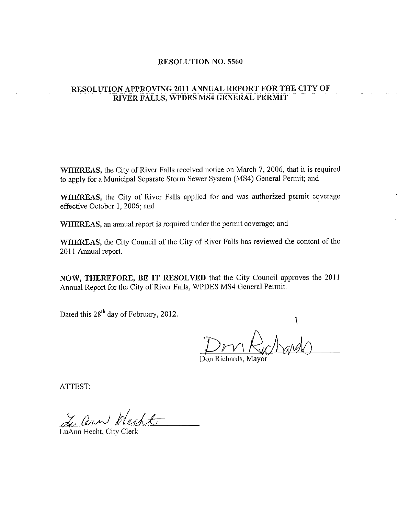### **RESOLUTION NO. 5560**

### RESOLUTION APPROVING 2011 ANNUAL REPORT FOR THE CITY OF RIVER FALLS, WPDES MS4 GENERAL PERMIT

WHEREAS, the City of River Falls received notice on March 7, 2006, that it is required to apply for a Municipal Separate Storm Sewer System (MS4) General Permit; and

WHEREAS, the City of River Falls applied for and was authorized permit coverage effective October 1, 2006; and

WHEREAS, an annual report is required under the permit coverage; and

WHEREAS, the City Council of the City of River Falls has reviewed the content of the 2011 Annual report.

NOW, THEREFORE, BE IT RESOLVED that the City Council approves the 2011 Annual Report for the City of River Falls, WPDES MS4 General Permit.

Dated this 28<sup>th</sup> day of February, 2012.

Acad

Don Richards, Mayor

ATTEST:

Luann Recht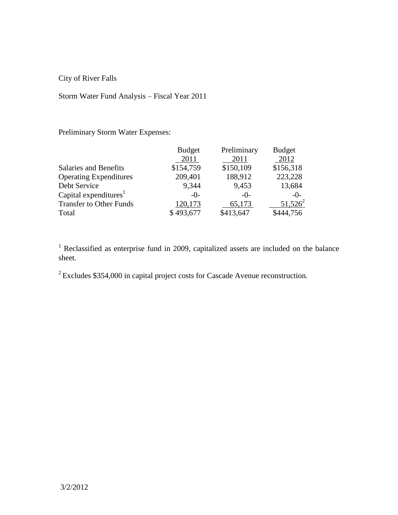City of River Falls

### Storm Water Fund Analysis – Fiscal Year 2011

Preliminary Storm Water Expenses:

|                                   | <b>Budget</b> | Preliminary | <b>Budget</b> |
|-----------------------------------|---------------|-------------|---------------|
|                                   | 2011          | 2011        | 2012          |
| Salaries and Benefits             | \$154,759     | \$150,109   | \$156,318     |
| <b>Operating Expenditures</b>     | 209,401       | 188,912     | 223,228       |
| Debt Service                      | 9,344         | 9,453       | 13,684        |
| Capital expenditures <sup>1</sup> | $-()$ -       | $-()$ -     | $-0-$         |
| <b>Transfer to Other Funds</b>    | 120,173       | 65,173      | $51,526^2$    |
| Total                             | \$493,677     | \$413,647   | \$444,756     |

<sup>1</sup> Reclassified as enterprise fund in 2009, capitalized assets are included on the balance sheet.

 $2^{2}$  Excludes \$354,000 in capital project costs for Cascade Avenue reconstruction.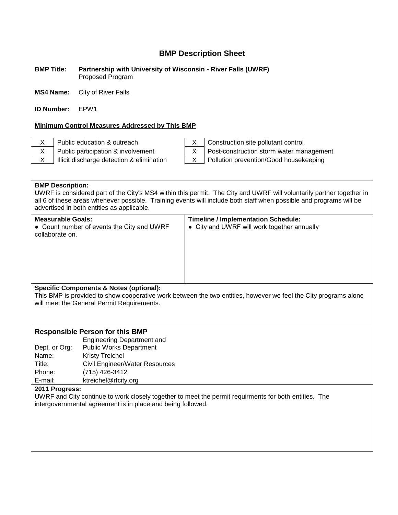#### **BMP Title: Partnership with University of Wisconsin - River Falls (UWRF)** Proposed Program

**MS4 Name:** City of River Falls

**ID Number:** EPW1

### **Minimum Control Measures Addressed by This BMP**

X Public education & outreach  $X \mid$  Construction site pollutant control



X Public participation & involvement X | Post-construction storm water management

 $X$  | Illicit discharge detection & elimination  $X$  | Pollution prevention/Good housekeeping

**BMP Description:** UWRF is considered part of the City's MS4 within this permit. The City and UWRF will voluntarily partner together in all 6 of these areas whenever possible. Training events will include both staff when possible and programs will be advertised in both entities as applicable.

| Measurable Goals:<br>• Count number of events the City and UWRF<br>collaborate on. | <b>Timeline / Implementation Schedule:</b><br>• City and UWRF will work together annually |
|------------------------------------------------------------------------------------|-------------------------------------------------------------------------------------------|
| Specific Components & Notes (optional):                                            |                                                                                           |

### **Specific Components & Notes (optional):**

This BMP is provided to show cooperative work between the two entities, however we feel the City programs alone will meet the General Permit Requirements.

### **Responsible Person for this BMP**

|               | <b>Engineering Department and</b> |
|---------------|-----------------------------------|
| Dept. or Org: | <b>Public Works Department</b>    |
| Name:         | <b>Kristy Treichel</b>            |
| Title:        | Civil Engineer/Water Resources    |
| Phone:        | (715) 426-3412                    |
| E-mail:       | ktreichel@rfcity.org              |

### **2011 Progress:**

UWRF and City continue to work closely together to meet the permit requirments for both entities. The intergovernmental agreement is in place and being followed.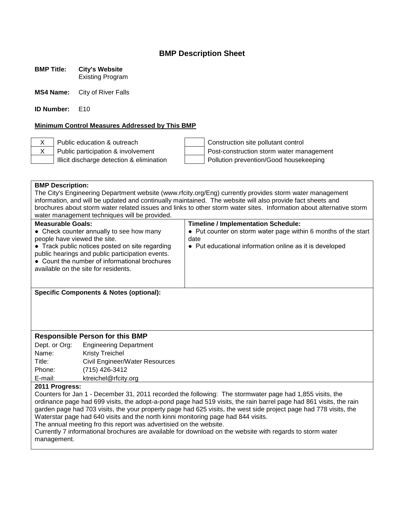**BMP Title: City's Website**

Existing Program

**MS4 Name:** City of River Falls

**ID Number:** E10

### **Minimum Control Measures Addressed by This BMP**

X Public education & outreach  $\vert$  | Construction site pollutant control  $X$  Public participation & involvement Post-construction storm water management Illicit discharge detection & elimination  $\parallel$  | Pollution prevention/Good housekeeping

|                                                                                                                      |                                                                                                          | <b>BMP Description:</b>                                                                                    |  |  |
|----------------------------------------------------------------------------------------------------------------------|----------------------------------------------------------------------------------------------------------|------------------------------------------------------------------------------------------------------------|--|--|
|                                                                                                                      | The City's Engineering Department website (www.rfcity.org/Eng) currently provides storm water management |                                                                                                            |  |  |
|                                                                                                                      |                                                                                                          | information, and will be updated and continually maintained. The website will also provide fact sheets and |  |  |
| brochures about storm water related issues and links to other storm water sites. Information about alternative storm |                                                                                                          |                                                                                                            |  |  |
|                                                                                                                      | water management techniques will be provided.                                                            |                                                                                                            |  |  |
| <b>Measurable Goals:</b>                                                                                             |                                                                                                          | <b>Timeline / Implementation Schedule:</b>                                                                 |  |  |
|                                                                                                                      | • Check counter annually to see how many                                                                 | • Put counter on storm water page within 6 months of the start                                             |  |  |
| people have viewed the site.                                                                                         |                                                                                                          | date                                                                                                       |  |  |
|                                                                                                                      | • Track public notices posted on site regarding<br>public hearings and public participation events.      | • Put educational information online as it is developed                                                    |  |  |
|                                                                                                                      | • Count the number of informational brochures                                                            |                                                                                                            |  |  |
|                                                                                                                      | available on the site for residents.                                                                     |                                                                                                            |  |  |
|                                                                                                                      |                                                                                                          |                                                                                                            |  |  |
|                                                                                                                      |                                                                                                          |                                                                                                            |  |  |
|                                                                                                                      | <b>Specific Components &amp; Notes (optional):</b>                                                       |                                                                                                            |  |  |
|                                                                                                                      |                                                                                                          |                                                                                                            |  |  |
|                                                                                                                      |                                                                                                          |                                                                                                            |  |  |
|                                                                                                                      |                                                                                                          |                                                                                                            |  |  |
|                                                                                                                      |                                                                                                          |                                                                                                            |  |  |
| <b>Responsible Person for this BMP</b>                                                                               |                                                                                                          |                                                                                                            |  |  |
| Dept. or Org:                                                                                                        | <b>Engineering Department</b>                                                                            |                                                                                                            |  |  |
| Name:                                                                                                                | <b>Kristy Treichel</b>                                                                                   |                                                                                                            |  |  |
| Title:                                                                                                               | Civil Engineer/Water Resources                                                                           |                                                                                                            |  |  |
| Phone:                                                                                                               | (715) 426-3412                                                                                           |                                                                                                            |  |  |
| E-mail:<br>ktreichel@rfcity.org                                                                                      |                                                                                                          |                                                                                                            |  |  |
| 2011 Progress:                                                                                                       |                                                                                                          |                                                                                                            |  |  |
| Counters for Jan 1 - December 31, 2011 recorded the following: The stormwater page had 1,855 visits, the             |                                                                                                          |                                                                                                            |  |  |
| ordinance page had 699 visits, the adopt-a-pond page had 519 visits, the rain barrel page had 861 visits, the rain   |                                                                                                          |                                                                                                            |  |  |
| garden page had 703 visits, the your property page had 625 visits, the west side project page had 778 visits, the    |                                                                                                          |                                                                                                            |  |  |
| Waterstar page had 640 visits and the north kinni monitoring page had 844 visits.                                    |                                                                                                          |                                                                                                            |  |  |
| The annual meeting fro this report was advertisied on the website.                                                   |                                                                                                          |                                                                                                            |  |  |
| Currently 7 informational brochures are available for download on the website with regards to storm water            |                                                                                                          |                                                                                                            |  |  |
| management.                                                                                                          |                                                                                                          |                                                                                                            |  |  |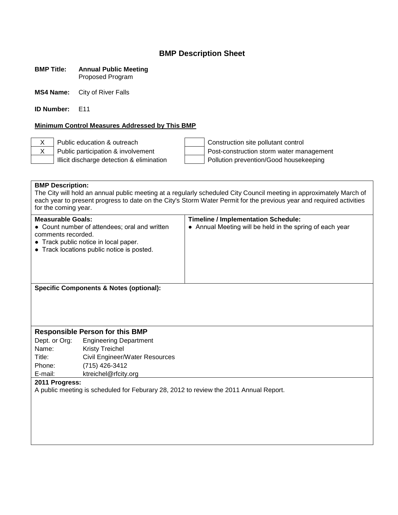#### **BMP Title: Annual Public Meeting** Proposed Program

**MS4 Name:** City of River Falls

**ID Number:** E11

### **Minimum Control Measures Addressed by This BMP**

X Public education & outreach Construction site pollutant control X Public participation & involvement Post-construction storm water management Illicit discharge detection & elimination  $\vert$  | Pollution prevention/Good housekeeping

# **BMP Description:** The City will hold an annual public meeting at a regularly scheduled City Council meeting in approximately March of each year to present progress to date on the City's Storm Water Permit for the previous year and required activities for the coming year. **Measurable Goals: Timeline / Implementation Schedule:** • Count number of attendees; oral and written comments recorded. ● Track public notice in local paper. ● Track locations public notice is posted. • Annual Meeting will be held in the spring of each year **Specific Components & Notes (optional): Responsible Person for this BMP** Dept. or Org: Engineering Department Name: Kristy Treichel Title: Civil Engineer/Water Resources Phone: (715) 426-3412 E-mail: ktreichel@rfcity.org **2011 Progress:** A public meeting is scheduled for Feburary 28, 2012 to review the 2011 Annual Report.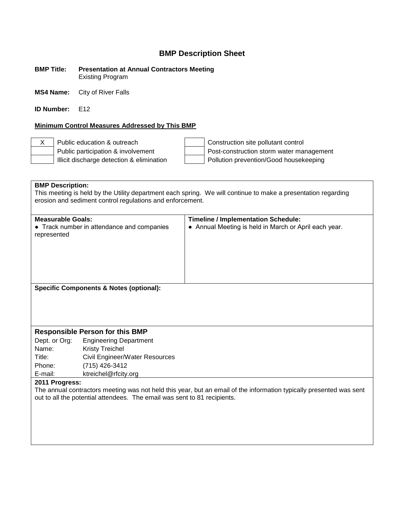**BMP Title: Presentation at Annual Contractors Meeting** Existing Program

**MS4 Name:** City of River Falls

**ID Number:** F12

### **Minimum Control Measures Addressed by This BMP**

X Public education & outreach Construction site pollutant control Public participation & involvement  $\vert$  Post-construction storm water management Illicit discharge detection & elimination  $\vert$  | Pollution prevention/Good housekeeping

**BMP Description:** This meeting is held by the Utility department each spring. We will continue to make a presentation regarding erosion and sediment control regulations and enforcement. **Measurable Goals: Timeline / Implementation Schedule:** ● Track number in attendance and companies represented ● Annual Meeting is held in March or April each year. **Specific Components & Notes (optional): Responsible Person for this BMP** Dept. or Org: Engineering Department Name: Kristy Treichel Title: Civil Engineer/Water Resources Phone: (715) 426-3412 E-mail: ktreichel@rfcity.org **2011 Progress:** The annual contractors meeting was not held this year, but an email of the information typically presented was sent out to all the potential attendees. The email was sent to 81 recipients.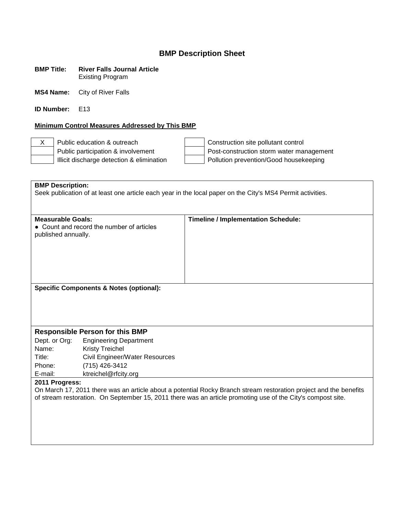| <b>BMP Title:</b> | <b>River Falls Journal Article</b> |
|-------------------|------------------------------------|
|                   | <b>Existing Program</b>            |

**MS4 Name:** City of River Falls

**ID Number:** E13

### **Minimum Control Measures Addressed by This BMP**

X Public education & outreach  $\vert$  | Construction site pollutant control Public participation & involvement<br>
Illicit discharge detection & elimination<br>
Post-construction storm water management<br>
Pollution prevention/Good housekeeping Pollution prevention/Good housekeeping

| <b>BMP Description:</b><br>Seek publication of at least one article each year in the local paper on the City's MS4 Permit activities. |                                           |                                            |
|---------------------------------------------------------------------------------------------------------------------------------------|-------------------------------------------|--------------------------------------------|
|                                                                                                                                       |                                           |                                            |
| <b>Measurable Goals:</b><br>published annually.                                                                                       | • Count and record the number of articles | <b>Timeline / Implementation Schedule:</b> |
| <b>Specific Components &amp; Notes (optional):</b>                                                                                    |                                           |                                            |
| <b>Responsible Person for this BMP</b>                                                                                                |                                           |                                            |
| Dept. or Org:                                                                                                                         | <b>Engineering Department</b>             |                                            |
| Name:                                                                                                                                 | <b>Kristy Treichel</b>                    |                                            |
| Title:                                                                                                                                | Civil Engineer/Water Resources            |                                            |
| Phone:                                                                                                                                | (715) 426-3412                            |                                            |
| E-mail:                                                                                                                               | ktreichel@rfcity.org                      |                                            |
| 2011 Progress:                                                                                                                        |                                           |                                            |
| On March 17, 2011 there was an article about a potential Rocky Branch stream restoration project and the benefits                     |                                           |                                            |

of stream restoration. On September 15, 2011 there was an article promoting use of the City's compost site.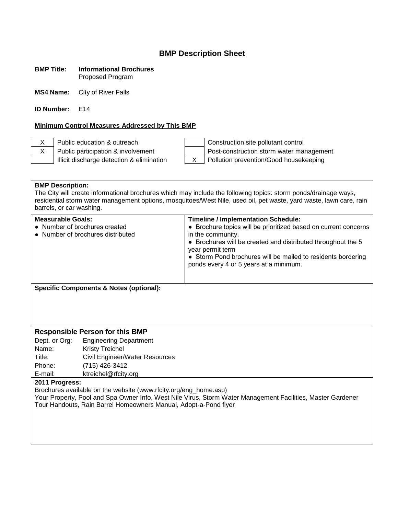### **BMP Title: Informational Brochures** Proposed Program

**MS4 Name:** City of River Falls

**ID Number:** F14

### **Minimum Control Measures Addressed by This BMP**

X Public education & outreach Construction site pollutant control X Public participation & involvement Post-construction storm water management Illicit discharge detection & elimination X Pollution prevention/Good housekeeping

### **BMP Description:**

The City will create informational brochures which may include the following topics: storm ponds/drainage ways, residential storm water management options, mosquitoes/West Nile, used oil, pet waste, yard waste, lawn care, rain barrels, or car washing.

| <b>Measurable Goals:</b><br>• Number of brochures created<br>• Number of brochures distributed                          | <b>Timeline / Implementation Schedule:</b><br>• Brochure topics will be prioritized based on current concerns<br>in the community.<br>• Brochures will be created and distributed throughout the 5<br>year permit term<br>• Storm Pond brochures will be mailed to residents bordering<br>ponds every 4 or 5 years at a minimum. |
|-------------------------------------------------------------------------------------------------------------------------|----------------------------------------------------------------------------------------------------------------------------------------------------------------------------------------------------------------------------------------------------------------------------------------------------------------------------------|
| $\mathbf{A}$ and $\mathbf{B}$ and $\mathbf{A}$ are accounted in $\mathbf{A}$ . The set of $\mathbf{A}$ and $\mathbf{B}$ |                                                                                                                                                                                                                                                                                                                                  |

**Specific Components & Notes (optional):**

### **Responsible Person for this BMP**

Dept. or Org: Engineering Department Name: Kristy Treichel Title: Civil Engineer/Water Resources Phone: (715) 426-3412 E-mail: ktreichel@rfcity.org

### **2011 Progress:**

Brochures available on the website (www.rfcity.org/eng\_home.asp)

Your Property, Pool and Spa Owner Info, West Nile Virus, Storm Water Management Facilities, Master Gardener Tour Handouts, Rain Barrel Homeowners Manual, Adopt-a-Pond flyer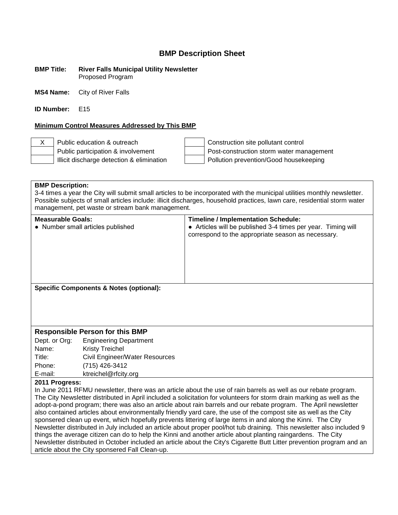#### **BMP Title: River Falls Municipal Utility Newsletter** Proposed Program

**MS4 Name:** City of River Falls

**ID Number:** E15

### **Minimum Control Measures Addressed by This BMP**

X Public education & outreach Construction site pollutant control Public participation & involvement  $\vert$  Post-construction storm water management Illicit discharge detection & elimination Pollution prevention/Good housekeeping

### **BMP Description:**

3-4 times a year the City will submit small articles to be incorporated with the municipal utilities monthly newsletter. Possible subjects of small articles include: illicit discharges, household practices, lawn care, residential storm water management, pet waste or stream bank management.

| <b>Measurable Goals:</b><br>• Number small articles published | <b>Timeline / Implementation Schedule:</b><br>• Articles will be published 3-4 times per year. Timing will<br>correspond to the appropriate season as necessary. |
|---------------------------------------------------------------|------------------------------------------------------------------------------------------------------------------------------------------------------------------|
| <b>Specific Components &amp; Notes (optional):</b>            |                                                                                                                                                                  |

### **Responsible Person for this BMP**

| Dept. or Org: | <b>Engineering Department</b>  |
|---------------|--------------------------------|
| Name:         | <b>Kristy Treichel</b>         |
| Title:        | Civil Engineer/Water Resources |
| Phone:        | (715) 426-3412                 |
| E-mail:       | ktreichel@rfcity.org           |

### **2011 Progress:**

In June 2011 RFMU newsletter, there was an article about the use of rain barrels as well as our rebate program. The City Newsletter distributed in April included a solicitation for volunteers for storm drain marking as well as the adopt-a-pond program; there was also an article about rain barrels and our rebate program. The April newsletter also contained articles about environmentally friendly yard care, the use of the compost site as well as the City sponsered clean up event, which hopefully prevents littering of large items in and along the Kinni. The City Newsletter distributed in July included an article about proper pool/hot tub draining. This newsletter also included 9 things the average citizen can do to help the Kinni and another article about planting raingardens. The City Newsletter distributed in October included an article about the City's Cigarette Butt Litter prevention program and an article about the City sponsered Fall Clean-up.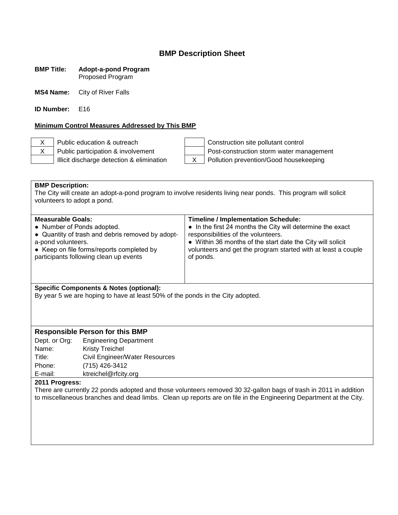#### **BMP Title: Adopt-a-pond Program** Proposed Program

**MS4 Name:** City of River Falls

**ID Number:** E16

### **Minimum Control Measures Addressed by This BMP**

X Public education & outreach  $\vert$  | Construction site pollutant control

X Public participation & involvement Post-construction storm water management Illicit discharge detection & elimination X Pollution prevention/Good housekeeping

**BMP Description:** The City will create an adopt-a-pond program to involve residents living near ponds. This program will solicit volunteers to adopt a pond.

| <b>Measurable Goals:</b>                         | <b>Timeline / Implementation Schedule:</b>                    |
|--------------------------------------------------|---------------------------------------------------------------|
| • Number of Ponds adopted.                       | • In the first 24 months the City will determine the exact    |
| • Quantity of trash and debris removed by adopt- | responsibilities of the volunteers.                           |
| a-pond volunteers.                               | • Within 36 months of the start date the City will solicit    |
| • Keep on file forms/reports completed by        | volunteers and get the program started with at least a couple |
| participants following clean up events           | of ponds.                                                     |
|                                                  |                                                               |

### **Specific Components & Notes (optional):**

By year 5 we are hoping to have at least 50% of the ponds in the City adopted.

### **Responsible Person for this BMP**

Dept. or Org: Engineering Department Name: Kristy Treichel Title: Civil Engineer/Water Resources Phone: (715) 426-3412 E-mail: ktreichel@rfcity.org

### **2011 Progress:**

There are currently 22 ponds adopted and those volunteers removed 30 32-gallon bags of trash in 2011 in addition to miscellaneous branches and dead limbs. Clean up reports are on file in the Engineering Department at the City.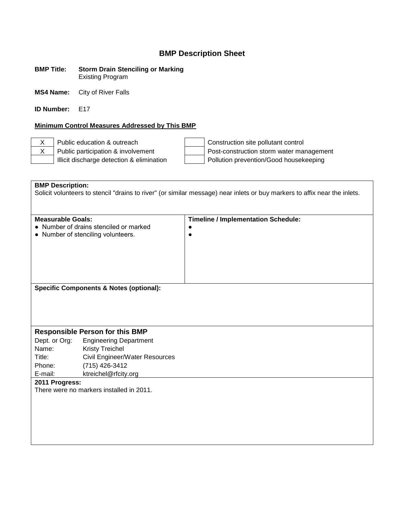#### **BMP Title: Storm Drain Stenciling or Marking** Existing Program

**MS4 Name:** City of River Falls

**ID Number:** E17

### **Minimum Control Measures Addressed by This BMP**

X Public education & outreach  $\vert$  | Construction site pollutant control X Public participation & involvement Post-construction storm water management Illicit discharge detection & elimination Pollution prevention/Good housekeeping

**BMP Description:** Solicit volunteers to stencil "drains to river" (or similar message) near inlets or buy markers to affix near the inlets. **Measurable Goals: Timeline / Implementation Schedule:** ● Number of drains stenciled or marked ● Number of stenciling volunteers. ●  $\bullet$ **Specific Components & Notes (optional): Responsible Person for this BMP** Dept. or Org: Engineering Department Name: Kristy Treichel Title: Civil Engineer/Water Resources Phone: (715) 426-3412 E-mail: ktreichel@rfcity.org **2011 Progress:** There were no markers installed in 2011.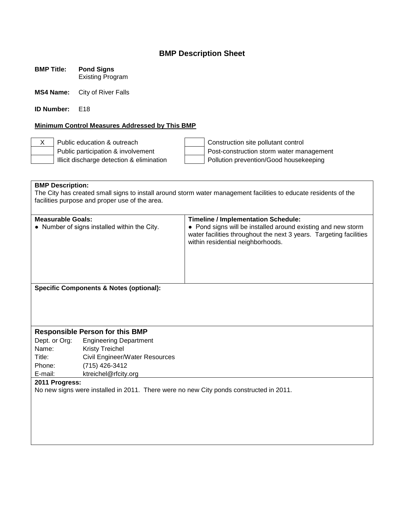**BMP Title: Pond Signs** Existing Program

**MS4 Name:** City of River Falls

**ID Number:** F18

### **Minimum Control Measures Addressed by This BMP**

X Public education & outreach  $\vert$  | Construction site pollutant control Public participation & involvement  $\vert$  Post-construction storm water management Illicit discharge detection & elimination  $\vert$  | Pollution prevention/Good housekeeping

**BMP Description:** The City has created small signs to install around storm water management facilities to educate residents of the facilities purpose and proper use of the area. **Measurable Goals: Timeline / Implementation Schedule:** ● Number of signs installed within the City.  $\cdot \cdot$  Pond signs will be installed around existing and new storm water facilities throughout the next 3 years. Targeting facilities within residential neighborhoods. **Specific Components & Notes (optional): Responsible Person for this BMP** Dept. or Org: Engineering Department Name: Kristy Treichel Title: Civil Engineer/Water Resources Phone: (715) 426-3412 E-mail: ktreichel@rfcity.org **2011 Progress:** No new signs were installed in 2011. There were no new City ponds constructed in 2011.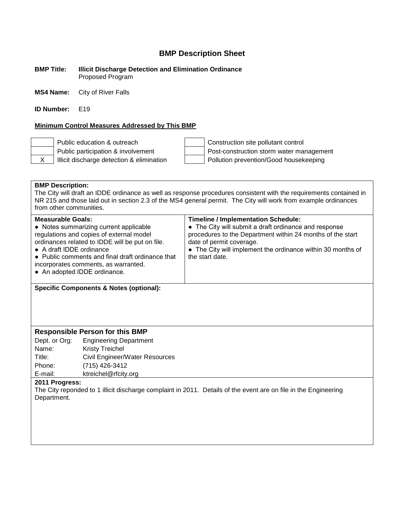**BMP Title: Illicit Discharge Detection and Elimination Ordinance** Proposed Program

**MS4 Name:** City of River Falls

**ID Number:** F19

### **Minimum Control Measures Addressed by This BMP**

Public education & outreach Construction site pollutant control Public participation & involvement  $\vert$  Post-construction storm water management X | Illicit discharge detection & elimination | Pollution prevention/Good housekeeping

### **BMP Description:**

The City will draft an IDDE ordinance as well as response procedures consistent with the requirements contained in NR 215 and those laid out in section 2.3 of the MS4 general permit. The City will work from example ordinances from other communities.

| <b>Measurable Goals:</b><br>• Notes summarizing current applicable<br>regulations and copies of external model<br>ordinances related to IDDE will be put on file.<br>• A draft IDDE ordinance<br>• Public comments and final draft ordinance that<br>incorporates comments, as warranted.<br>• An adopted IDDE ordinance. | <b>Timeline / Implementation Schedule:</b><br>• The City will submit a draft ordinance and response<br>procedures to the Department within 24 months of the start<br>date of permit coverage.<br>• The City will implement the ordinance within 30 months of<br>the start date. |
|---------------------------------------------------------------------------------------------------------------------------------------------------------------------------------------------------------------------------------------------------------------------------------------------------------------------------|---------------------------------------------------------------------------------------------------------------------------------------------------------------------------------------------------------------------------------------------------------------------------------|
|                                                                                                                                                                                                                                                                                                                           |                                                                                                                                                                                                                                                                                 |

**Specific Components & Notes (optional):**

### **Responsible Person for this BMP**

Dept. or Org: Engineering Department Name: Kristy Treichel Title: Civil Engineer/Water Resources Phone: (715) 426-3412 E-mail: ktreichel@rfcity.org

### **2011 Progress:**

The City reponded to 1 illicit discharge complaint in 2011. Details of the event are on file in the Engineering Department.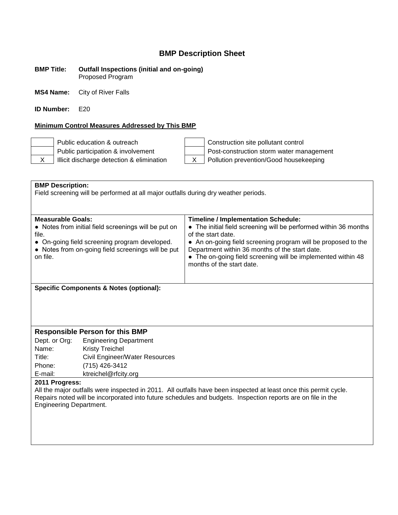#### **BMP Title: Outfall Inspections (initial and on-going)** Proposed Program

**MS4 Name:** City of River Falls

**ID Number:** E20

### **Minimum Control Measures Addressed by This BMP**

Public education & outreach Construction site pollutant control Public participation & involvement  $\parallel$  | Post-construction storm water management  $X$  | Illicit discharge detection & elimination  $X$  | Pollution prevention/Good housekeeping

| <b>BMP Description:</b><br>Field screening will be performed at all major outfalls during dry weather periods.   |                                                      |                                                                                        |  |
|------------------------------------------------------------------------------------------------------------------|------------------------------------------------------|----------------------------------------------------------------------------------------|--|
|                                                                                                                  |                                                      |                                                                                        |  |
|                                                                                                                  |                                                      |                                                                                        |  |
|                                                                                                                  |                                                      |                                                                                        |  |
| <b>Measurable Goals:</b>                                                                                         |                                                      | <b>Timeline / Implementation Schedule:</b>                                             |  |
| file.                                                                                                            | • Notes from initial field screenings will be put on | • The initial field screening will be performed within 36 months<br>of the start date. |  |
|                                                                                                                  | • On-going field screening program developed.        | • An on-going field screening program will be proposed to the                          |  |
|                                                                                                                  | • Notes from on-going field screenings will be put   | Department within 36 months of the start date.                                         |  |
| on file.                                                                                                         |                                                      | • The on-going field screening will be implemented within 48                           |  |
|                                                                                                                  |                                                      | months of the start date.                                                              |  |
|                                                                                                                  |                                                      |                                                                                        |  |
|                                                                                                                  |                                                      |                                                                                        |  |
|                                                                                                                  | <b>Specific Components &amp; Notes (optional):</b>   |                                                                                        |  |
|                                                                                                                  |                                                      |                                                                                        |  |
|                                                                                                                  |                                                      |                                                                                        |  |
|                                                                                                                  |                                                      |                                                                                        |  |
|                                                                                                                  |                                                      |                                                                                        |  |
| <b>Responsible Person for this BMP</b>                                                                           |                                                      |                                                                                        |  |
| Dept. or Org:                                                                                                    | <b>Engineering Department</b>                        |                                                                                        |  |
| Name:                                                                                                            | <b>Kristy Treichel</b>                               |                                                                                        |  |
| Title:                                                                                                           | Civil Engineer/Water Resources                       |                                                                                        |  |
| Phone:                                                                                                           | (715) 426-3412                                       |                                                                                        |  |
| E-mail:                                                                                                          | ktreichel@rfcity.org                                 |                                                                                        |  |
| 2011 Progress:                                                                                                   |                                                      |                                                                                        |  |
| All the major outfalls were inspected in 2011. All outfalls have been inspected at least once this permit cycle. |                                                      |                                                                                        |  |
| Repairs noted will be incorporated into future schedules and budgets. Inspection reports are on file in the      |                                                      |                                                                                        |  |

Engineering Department.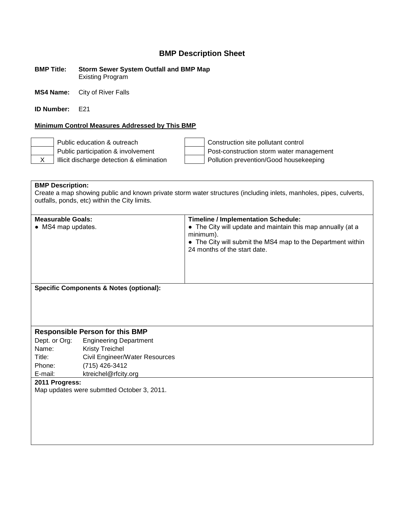**BMP Title: Storm Sewer System Outfall and BMP Map** Existing Program

**MS4 Name:** City of River Falls

**ID Number:** F<sub>21</sub>

### **Minimum Control Measures Addressed by This BMP**

Public education & outreach Construction site pollutant control Public participation & involvement  $\parallel$  | Post-construction storm water management X | Illicit discharge detection & elimination | Pollution prevention/Good housekeeping

**BMP Description:** Create a map showing public and known private storm water structures (including inlets, manholes, pipes, culverts, outfalls, ponds, etc) within the City limits.

| <b>Measurable Goals:</b><br>• MS4 map updates.     | <b>Timeline / Implementation Schedule:</b><br>• The City will update and maintain this map annually (at a<br>minimum).<br>• The City will submit the MS4 map to the Department within<br>24 months of the start date. |
|----------------------------------------------------|-----------------------------------------------------------------------------------------------------------------------------------------------------------------------------------------------------------------------|
| <b>Specific Components &amp; Notes (optional):</b> |                                                                                                                                                                                                                       |

### **Responsible Person for this BMP**

Dept. or Org: Engineering Department Name: Kristy Treichel Title: Civil Engineer/Water Resources Phone: (715) 426-3412 E-mail: ktreichel@rfcity.org

**2011 Progress:**

Map updates were submtted October 3, 2011.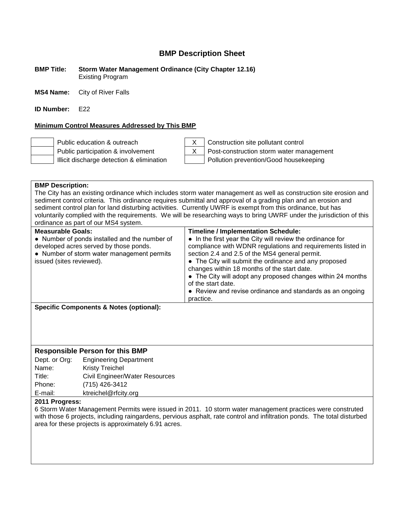**BMP Title: Storm Water Management Ordinance (City Chapter 12.16)** Existing Program

**MS4 Name:** City of River Falls

**ID Number:** F<sub>22</sub>

### **Minimum Control Measures Addressed by This BMP**



Public education & outreach X Construction site pollutant control Public participation & involvement  $\begin{vmatrix} x \\ y \end{vmatrix}$  Post-construction storm water management Illicit discharge detection & elimination Pollution prevention/Good housekeeping

| <b>BMP Description:</b><br>The City has an existing ordinance which includes storm water management as well as construction site erosion and<br>sediment control criteria. This ordinance requires submittal and approval of a grading plan and an erosion and<br>sediment control plan for land disturbing activities. Currently UWRF is exempt from this ordinance, but has<br>voluntarily complied with the requirements. We will be researching ways to bring UWRF under the jurisdiction of this<br>ordinance as part of our MS4 system. |                                                                                                                                                                                                                                                                                                                                                                                                                                                                                                  |  |
|-----------------------------------------------------------------------------------------------------------------------------------------------------------------------------------------------------------------------------------------------------------------------------------------------------------------------------------------------------------------------------------------------------------------------------------------------------------------------------------------------------------------------------------------------|--------------------------------------------------------------------------------------------------------------------------------------------------------------------------------------------------------------------------------------------------------------------------------------------------------------------------------------------------------------------------------------------------------------------------------------------------------------------------------------------------|--|
| <b>Measurable Goals:</b><br>• Number of ponds installed and the number of<br>developed acres served by those ponds.<br>• Number of storm water management permits<br>issued (sites reviewed).                                                                                                                                                                                                                                                                                                                                                 | <b>Timeline / Implementation Schedule:</b><br>• In the first year the City will review the ordinance for<br>compliance with WDNR regulations and requirements listed in<br>section 2.4 and 2.5 of the MS4 general permit.<br>• The City will submit the ordinance and any proposed<br>changes within 18 months of the start date.<br>• The City will adopt any proposed changes within 24 months<br>of the start date.<br>• Review and revise ordinance and standards as an ongoing<br>practice. |  |
| <b>Specific Components &amp; Notes (optional):</b>                                                                                                                                                                                                                                                                                                                                                                                                                                                                                            |                                                                                                                                                                                                                                                                                                                                                                                                                                                                                                  |  |
| <b>Responsible Person for this BMP</b>                                                                                                                                                                                                                                                                                                                                                                                                                                                                                                        |                                                                                                                                                                                                                                                                                                                                                                                                                                                                                                  |  |

| Dept. or Org: | <b>Engineering Department</b>  |
|---------------|--------------------------------|
| Name:         | <b>Kristy Treichel</b>         |
| Title:        | Civil Engineer/Water Resources |
| Phone:        | (715) 426-3412                 |
| E-mail:       | ktreichel@rfcity.org           |

#### **2011 Progress:**

6 Storm Water Management Permits were issued in 2011. 10 storm water management practices were construted with those 6 projects, including raingardens, pervious asphalt, rate control and infiltration ponds. The total disturbed area for these projects is approximately 6.91 acres.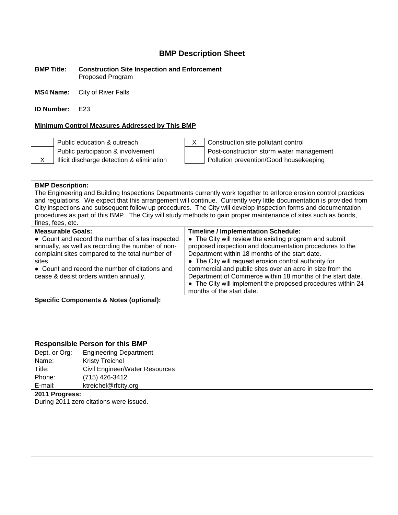#### **BMP Title: Construction Site Inspection and Enforcement** Proposed Program

**MS4 Name:** City of River Falls

**ID Number:** E23

### **Minimum Control Measures Addressed by This BMP**





Public education & outreach X Construction site pollutant control Public participation & involvement  $\parallel$  Post-construction storm water management X | Illicit discharge detection & elimination | Pollution prevention/Good housekeeping

### **BMP Description:**

The Engineering and Building Inspections Departments currently work together to enforce erosion control practices and regulations. We expect that this arrangement will continue. Currently very little documentation is provided from City inspections and subsequent follow up procedures. The City will develop inspection forms and documentation procedures as part of this BMP. The City will study methods to gain proper maintenance of sites such as bonds, fines, fees, etc.

| <b>Measurable Goals:</b><br>• Count and record the number of sites inspected<br>annually, as well as recording the number of non-<br>complaint sites compared to the total number of<br>sites.<br>• Count and record the number of citations and<br>cease & desist orders written annually. | <b>Timeline / Implementation Schedule:</b><br>• The City will review the existing program and submit<br>proposed inspection and documentation procedures to the<br>Department within 18 months of the start date.<br>• The City will request erosion control authority for<br>commercial and public sites over an acre in size from the<br>Department of Commerce within 18 months of the start date.<br>• The City will implement the proposed procedures within 24<br>months of the start date. |
|---------------------------------------------------------------------------------------------------------------------------------------------------------------------------------------------------------------------------------------------------------------------------------------------|---------------------------------------------------------------------------------------------------------------------------------------------------------------------------------------------------------------------------------------------------------------------------------------------------------------------------------------------------------------------------------------------------------------------------------------------------------------------------------------------------|
| Specific Components & Notes (ontional).                                                                                                                                                                                                                                                     |                                                                                                                                                                                                                                                                                                                                                                                                                                                                                                   |

**Specific Components & Notes (optional):**

### **Responsible Person for this BMP**

Dept. or Org: Engineering Department Name: Kristy Treichel Title: Civil Engineer/Water Resources Phone: (715) 426-3412 E-mail: ktreichel@rfcity.org

### **2011 Progress:**

During 2011 zero citations were issued.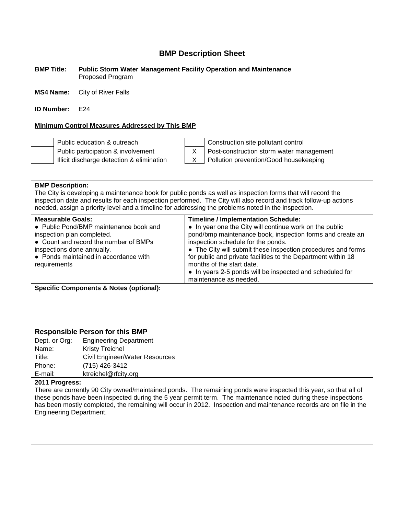#### **BMP Title: Public Storm Water Management Facility Operation and Maintenance** Proposed Program

**MS4 Name:** City of River Falls

**ID Number:** E24

### **Minimum Control Measures Addressed by This BMP**



Public education & outreach Construction site pollutant control Public participation & involvement X Post-construction storm water management Illicit discharge detection & elimination X Pollution prevention/Good housekeeping

### **BMP Description:**

The City is developing a maintenance book for public ponds as well as inspection forms that will record the inspection date and results for each inspection performed. The City will also record and track follow-up actions needed, assign a priority level and a timeline for addressing the problems noted in the inspection.

**Specific Components & Notes (optional):**

### **Responsible Person for this BMP**

| Dept. or Org: | <b>Engineering Department</b>  |
|---------------|--------------------------------|
| Name:         | <b>Kristy Treichel</b>         |
| Title:        | Civil Engineer/Water Resources |
| Phone:        | (715) 426-3412                 |
| E-mail:       | ktreichel@rfcity.org           |

### **2011 Progress:**

There are currently 90 City owned/maintained ponds. The remaining ponds were inspected this year, so that all of these ponds have been inspected during the 5 year permit term. The maintenance noted during these inspections has been mostly completed, the remaining will occur in 2012. Inspection and maintenance records are on file in the Engineering Department.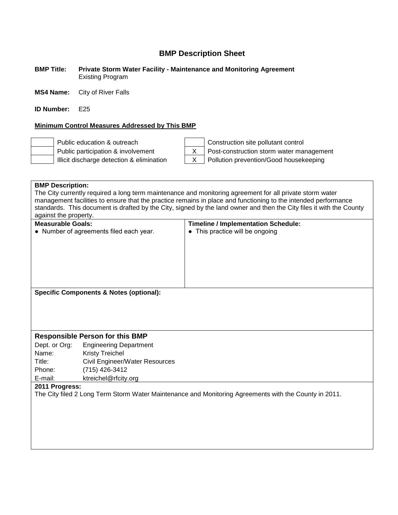### **BMP Title: Private Storm Water Facility - Maintenance and Monitoring Agreement** Existing Program

**MS4 Name:** City of River Falls

**ID Number:** E25

### **Minimum Control Measures Addressed by This BMP**



Public education & outreach Construction site pollutant control Public participation & involvement X Post-construction storm water management Illicit discharge detection & elimination  $\begin{vmatrix} x \\ y \end{vmatrix}$  Pollution prevention/Good housekeeping

| <b>BMP Description:</b>                                                                                              |                                                    |                                                                                                                |
|----------------------------------------------------------------------------------------------------------------------|----------------------------------------------------|----------------------------------------------------------------------------------------------------------------|
|                                                                                                                      |                                                    | The City currently required a long term maintenance and monitoring agreement for all private storm water       |
|                                                                                                                      |                                                    | management facilities to ensure that the practice remains in place and functioning to the intended performance |
| standards. This document is drafted by the City, signed by the land owner and then the City files it with the County |                                                    |                                                                                                                |
| against the property.                                                                                                |                                                    |                                                                                                                |
| <b>Measurable Goals:</b>                                                                                             |                                                    | <b>Timeline / Implementation Schedule:</b>                                                                     |
|                                                                                                                      | • Number of agreements filed each year.            | • This practice will be ongoing                                                                                |
|                                                                                                                      |                                                    |                                                                                                                |
|                                                                                                                      |                                                    |                                                                                                                |
|                                                                                                                      |                                                    |                                                                                                                |
|                                                                                                                      |                                                    |                                                                                                                |
|                                                                                                                      |                                                    |                                                                                                                |
|                                                                                                                      |                                                    |                                                                                                                |
|                                                                                                                      | <b>Specific Components &amp; Notes (optional):</b> |                                                                                                                |
|                                                                                                                      |                                                    |                                                                                                                |
|                                                                                                                      |                                                    |                                                                                                                |
|                                                                                                                      |                                                    |                                                                                                                |
|                                                                                                                      |                                                    |                                                                                                                |
|                                                                                                                      | <b>Responsible Person for this BMP</b>             |                                                                                                                |
| Dept. or Org:                                                                                                        | <b>Engineering Department</b>                      |                                                                                                                |
| Name:                                                                                                                | <b>Kristy Treichel</b>                             |                                                                                                                |
| Title:                                                                                                               | Civil Engineer/Water Resources                     |                                                                                                                |
| Phone:                                                                                                               | (715) 426-3412                                     |                                                                                                                |
| E-mail:                                                                                                              | ktreichel@rfcity.org                               |                                                                                                                |
| 2011 Progress:                                                                                                       |                                                    |                                                                                                                |
|                                                                                                                      |                                                    | The City filed 2 Long Term Storm Water Maintenance and Monitoring Agreements with the County in 2011.          |
|                                                                                                                      |                                                    |                                                                                                                |
|                                                                                                                      |                                                    |                                                                                                                |
|                                                                                                                      |                                                    |                                                                                                                |
|                                                                                                                      |                                                    |                                                                                                                |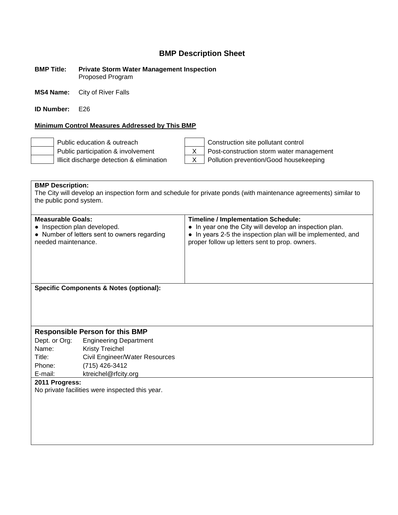#### **BMP Title: Private Storm Water Management Inspection** Proposed Program

**MS4 Name:** City of River Falls

**ID Number:** E26

### **Minimum Control Measures Addressed by This BMP**

Public education & outreach Construction site pollutant control Public participation & involvement  $\begin{vmatrix} X \\ \end{vmatrix}$  Post-construction storm water management Illicit discharge detection & elimination  $\begin{vmatrix} X & \end{vmatrix}$  Pollution prevention/Good housekeeping

**BMP Description:** The City will develop an inspection form and schedule for private ponds (with maintenance agreements) similar to the public pond system.

| <b>Measurable Goals:</b><br>• Inspection plan developed.<br>• Number of letters sent to owners regarding<br>needed maintenance. | <b>Timeline / Implementation Schedule:</b><br>• In year one the City will develop an inspection plan.<br>• In years 2-5 the inspection plan will be implemented, and<br>proper follow up letters sent to prop. owners. |
|---------------------------------------------------------------------------------------------------------------------------------|------------------------------------------------------------------------------------------------------------------------------------------------------------------------------------------------------------------------|
| Specific Components & Notes (optional):                                                                                         |                                                                                                                                                                                                                        |

**Responsible Person for this BMP**

Dept. or Org: Engineering Department Name: Kristy Treichel Title: Civil Engineer/Water Resources Phone: (715) 426-3412 E-mail: ktreichel@rfcity.org

**2011 Progress:**

No private facilities were inspected this year.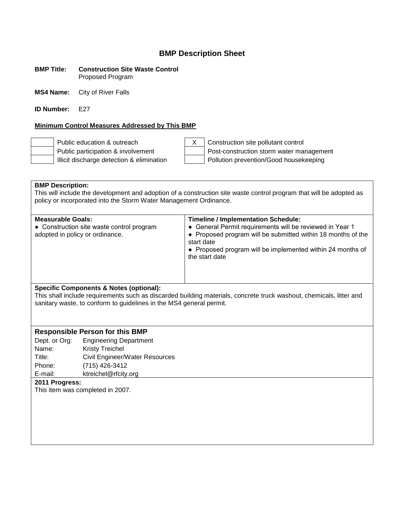#### **BMP Title: Construction Site Waste Control** Proposed Program

**MS4 Name:** City of River Falls

**ID Number:** F27

### **Minimum Control Measures Addressed by This BMP**

Public education & outreach  $\begin{vmatrix} x \\ y \end{vmatrix}$  X  $\begin{vmatrix} 1 \\ 2 \end{vmatrix}$  Construction site pollutant control Public participation & involvement  $\vert$  Post-construction storm water management Illicit discharge detection & elimination  $\vert$  | Pollution prevention/Good housekeeping

**BMP Description:** This will include the development and adoption of a construction site waste control program that will be adopted as policy or incorporated into the Storm Water Management Ordinance.

| <b>Measurable Goals:</b><br>• Construction site waste control program<br>adopted in policy or ordinance. | <b>Timeline / Implementation Schedule:</b><br>• General Permit requirements will be reviewed in Year 1<br>• Proposed program will be submitted within 18 months of the<br>start date<br>• Proposed program will be implemented within 24 months of<br>the start date |
|----------------------------------------------------------------------------------------------------------|----------------------------------------------------------------------------------------------------------------------------------------------------------------------------------------------------------------------------------------------------------------------|
|                                                                                                          |                                                                                                                                                                                                                                                                      |

### **Specific Components & Notes (optional):**

This shall include requirements such as discarded building materials, concrete truck washout, chemicals, litter and sanitary waste, to conform to guidelines in the MS4 general permit.

### **Responsible Person for this BMP**

Dept. or Org: Engineering Department Name: Kristy Treichel Title: Civil Engineer/Water Resources Phone: (715) 426-3412 E-mail: ktreichel@rfcity.org

### **2011 Progress:**

This item was completed in 2007.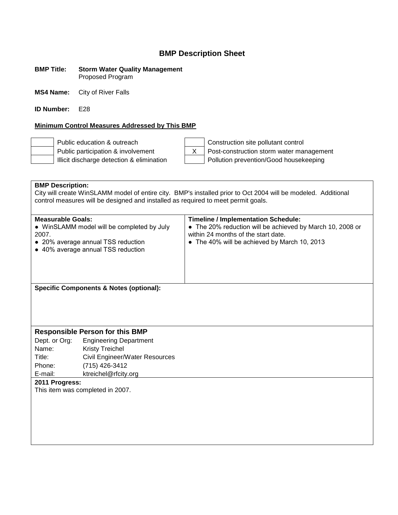### **BMP Title: Storm Water Quality Management** Proposed Program

**MS4 Name:** City of River Falls

**ID Number:** E28

### **Minimum Control Measures Addressed by This BMP**

Public education & outreach Construction site pollutant control

Public participation & involvement<br>
Illicit discharge detection & elimination<br>
Pollution prevention/Good housekeeping Pollution prevention/Good housekeeping

| <b>BMP Description:</b>                                                                                                                                     | control measures will be designed and installed as required to meet permit goals. | City will create WinSLAMM model of entire city. BMP's installed prior to Oct 2004 will be modeled. Additional                                                                                  |
|-------------------------------------------------------------------------------------------------------------------------------------------------------------|-----------------------------------------------------------------------------------|------------------------------------------------------------------------------------------------------------------------------------------------------------------------------------------------|
| <b>Measurable Goals:</b><br>• WinSLAMM model will be completed by July<br>2007.<br>• 20% average annual TSS reduction<br>• 40% average annual TSS reduction |                                                                                   | <b>Timeline / Implementation Schedule:</b><br>• The 20% reduction will be achieved by March 10, 2008 or<br>within 24 months of the start date.<br>• The 40% will be achieved by March 10, 2013 |
|                                                                                                                                                             | <b>Specific Components &amp; Notes (optional):</b>                                |                                                                                                                                                                                                |
|                                                                                                                                                             |                                                                                   |                                                                                                                                                                                                |
|                                                                                                                                                             |                                                                                   |                                                                                                                                                                                                |
|                                                                                                                                                             | <b>Responsible Person for this BMP</b>                                            |                                                                                                                                                                                                |
| Dept. or Org:                                                                                                                                               | <b>Engineering Department</b>                                                     |                                                                                                                                                                                                |
| Name:                                                                                                                                                       | <b>Kristy Treichel</b>                                                            |                                                                                                                                                                                                |
| Title:                                                                                                                                                      | Civil Engineer/Water Resources                                                    |                                                                                                                                                                                                |
| Phone:                                                                                                                                                      | (715) 426-3412                                                                    |                                                                                                                                                                                                |
| E-mail:                                                                                                                                                     | ktreichel@rfcity.org                                                              |                                                                                                                                                                                                |
| 2011 Progress:                                                                                                                                              |                                                                                   |                                                                                                                                                                                                |
|                                                                                                                                                             | This item was completed in 2007.                                                  |                                                                                                                                                                                                |
|                                                                                                                                                             |                                                                                   |                                                                                                                                                                                                |
|                                                                                                                                                             |                                                                                   |                                                                                                                                                                                                |
|                                                                                                                                                             |                                                                                   |                                                                                                                                                                                                |
|                                                                                                                                                             |                                                                                   |                                                                                                                                                                                                |
|                                                                                                                                                             |                                                                                   |                                                                                                                                                                                                |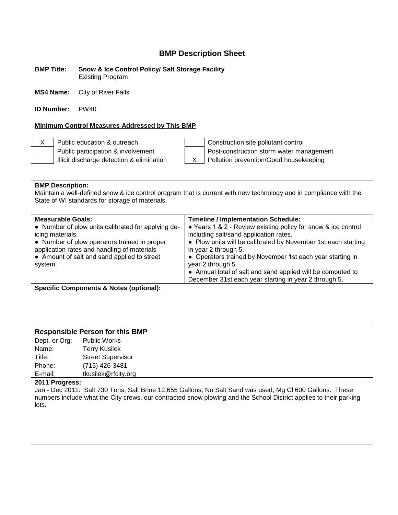**BMP Title: Snow & Ice Control Policy/ Salt Storage Facility** Existing Program

**MS4 Name:** City of River Falls

**ID Number:** PW40

#### **Minimum Control Measures Addressed by This BMP**

X Public education & outreach  $\vert$  | Construction site pollutant control Public participation & involvement Post-construction storm water management Illicit discharge detection & elimination  $\begin{vmatrix} X & \text{Polution} \end{vmatrix}$  Pollution prevention/Good housekeeping

| <b>BMP Description:</b><br>Maintain a well-defined snow & ice control program that is current with new technology and in compliance with the<br>State of WI standards for storage of materials.                                                             |                                                                                                                                                                                                                                                                                                                                                                                                                                                          |  |
|-------------------------------------------------------------------------------------------------------------------------------------------------------------------------------------------------------------------------------------------------------------|----------------------------------------------------------------------------------------------------------------------------------------------------------------------------------------------------------------------------------------------------------------------------------------------------------------------------------------------------------------------------------------------------------------------------------------------------------|--|
| <b>Measurable Goals:</b><br>• Number of plow units calibrated for applying de-<br>icing materials.<br>• Number of plow operators trained in proper<br>application rates and handling of materials<br>• Amount of salt and sand applied to street<br>system. | <b>Timeline / Implementation Schedule:</b><br>• Years 1 & 2 - Review existing policy for snow & ice control<br>including salt/sand application rates.<br>• Plow units will be calibrated by November 1st each starting<br>in year 2 through 5.<br>• Operators trained by November 1st each year starting in<br>year 2 through 5.<br>• Annual total of salt and sand applied will be computed to<br>December 31st each year starting in year 2 through 5. |  |

**Specific Components & Notes (optional):**

### **Responsible Person for this BMP**

Dept. or Org: Public Works Name: Terry Kusilek Title: Street Supervisor Phone: (715) 426-3481 E-mail: tkusilek@rfcity.org

### **2011 Progress:**

Jan - Dec 2011: Salt 730 Tons; Salt Brine 12,655 Gallons; No Salt Sand was used; Mg Cl 600 Gallons. These numbers include what the City crews, our contracted snow plowing and the School District applies to their parking lots.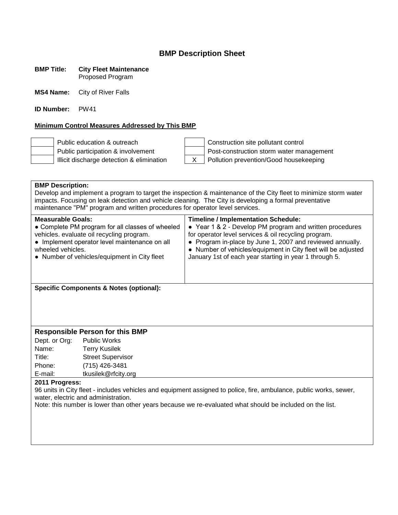#### **BMP Title: City Fleet Maintenance** Proposed Program

**MS4 Name:** City of River Falls

**ID Number:** PW41

### **Minimum Control Measures Addressed by This BMP**

Public education & outreach Construction site pollutant control Public participation & involvement  $\vert$  Post-construction storm water management Illicit discharge detection & elimination  $\begin{array}{|c|c|c|c|c|c|c|c|c|} \hline \end{array}$  Pollution prevention/Good housekeeping

### **BMP Description:** Develop and implement a program to target the inspection & maintenance of the City fleet to minimize storm water impacts. Focusing on leak detection and vehicle cleaning. The City is developing a formal preventative maintenance "PM" program and written procedures for operator level services. **Measurable Goals: Timeline / Implementation Schedule:** • Complete PM program for all classes of wheeled vehicles. evaluate oil recycling program. ● Implement operator level maintenance on all wheeled vehicles. ● Number of vehicles/equipment in City fleet ● Year 1 & 2 - Develop PM program and written procedures for operator level services & oil recycling program. • Program in-place by June 1, 2007 and reviewed annually. • Number of vehicles/equipment in City fleet will be adjusted January 1st of each year starting in year 1 through 5. **Specific Components & Notes (optional):**

### **Responsible Person for this BMP**

Dept. or Org: Public Works Name: Terry Kusilek Title: Street Supervisor Phone: (715) 426-3481 E-mail: tkusilek@rfcity.org

### **2011 Progress:**

96 units in City fleet - includes vehicles and equipment assigned to police, fire, ambulance, public works, sewer, water, electric and administration.

Note: this number is lower than other years because we re-evaluated what should be included on the list.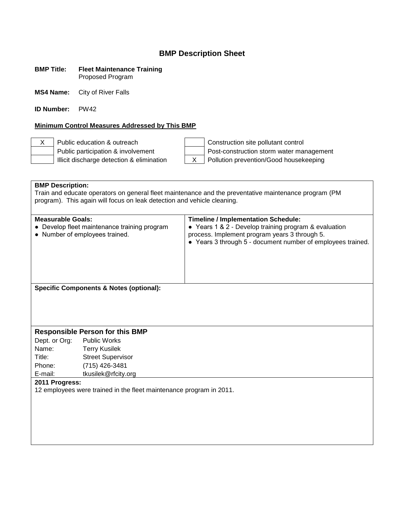#### **BMP Title: Fleet Maintenance Training** Proposed Program

**MS4 Name:** City of River Falls

**ID Number:** PW42

### **Minimum Control Measures Addressed by This BMP**

Illicit discharge detection & elimination X Pollution prevention/Good housekeeping

X Public education & outreach Construction site pollutant control Public participation & involvement  $\vert$  Post-construction storm water management

**BMP Description:** Train and educate operators on general fleet maintenance and the preventative maintenance program (PM program). This again will focus on leak detection and vehicle cleaning. **Measurable Goals: Timeline / Implementation Schedule:** ● Develop fleet maintenance training program ● Number of employees trained. ● Years 1 & 2 - Develop training program & evaluation process. Implement program years 3 through 5. ● Years 3 through 5 - document number of employees trained. **Specific Components & Notes (optional): Responsible Person for this BMP** Dept. or Org: Public Works Name: Terry Kusilek Title: Street Supervisor Phone: (715) 426-3481 E-mail: tkusilek@rfcity.org **2011 Progress:** 12 employees were trained in the fleet maintenance program in 2011.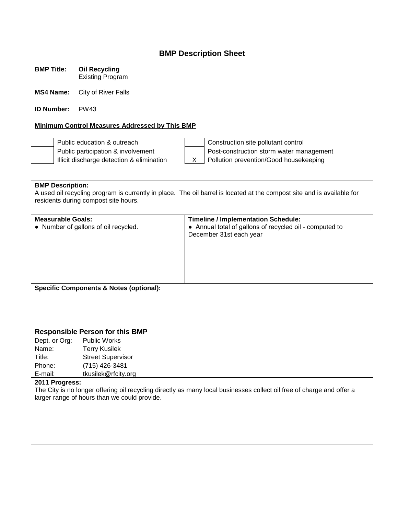**BMP Title: Oil Recycling** Existing Program

**MS4 Name:** City of River Falls

**ID Number:** PW43

### **Minimum Control Measures Addressed by This BMP**

Public education & outreach Construction site pollutant control Public participation & involvement  $\parallel$  | Post-construction storm water management Illicit discharge detection & elimination  $\begin{vmatrix} x \\ y \end{vmatrix}$  Pollution prevention/Good housekeeping

**BMP Description:** A used oil recycling program is currently in place. The oil barrel is located at the compost site and is available for residents during compost site hours.

| <b>Measurable Goals:</b>             |                                                    | <b>Timeline / Implementation Schedule:</b>                                                                            |
|--------------------------------------|----------------------------------------------------|-----------------------------------------------------------------------------------------------------------------------|
| • Number of gallons of oil recycled. |                                                    | • Annual total of gallons of recycled oil - computed to                                                               |
|                                      |                                                    | December 31st each year                                                                                               |
|                                      |                                                    |                                                                                                                       |
|                                      |                                                    |                                                                                                                       |
|                                      |                                                    |                                                                                                                       |
|                                      |                                                    |                                                                                                                       |
|                                      |                                                    |                                                                                                                       |
|                                      | <b>Specific Components &amp; Notes (optional):</b> |                                                                                                                       |
|                                      |                                                    |                                                                                                                       |
|                                      |                                                    |                                                                                                                       |
|                                      |                                                    |                                                                                                                       |
|                                      |                                                    |                                                                                                                       |
|                                      | <b>Responsible Person for this BMP</b>             |                                                                                                                       |
| Dept. or Org:                        | Public Works                                       |                                                                                                                       |
| Name:                                | <b>Terry Kusilek</b>                               |                                                                                                                       |
| Title:                               | <b>Street Supervisor</b>                           |                                                                                                                       |
| Phone:                               | (715) 426-3481                                     |                                                                                                                       |
| E-mail:                              | tkusilek@rfcity.org                                |                                                                                                                       |
| 2011 Progress:                       |                                                    |                                                                                                                       |
|                                      |                                                    | The City is no longer offering oil recycling directly as many local businesses collect oil free of charge and offer a |
|                                      | larger range of hours than we could provide.       |                                                                                                                       |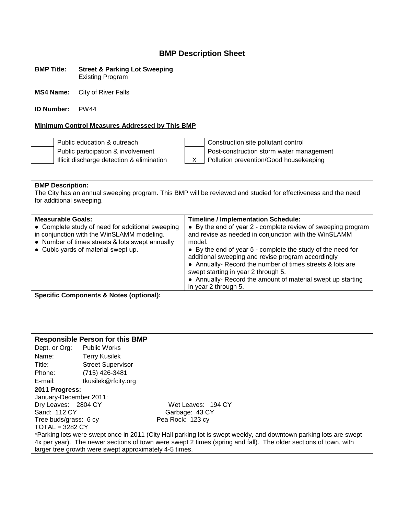#### **BMP Title: Street & Parking Lot Sweeping** Existing Program

**MS4 Name:** City of River Falls

**ID Number:** PW44

### **Minimum Control Measures Addressed by This BMP**

Public education & outreach Public participation & involvement Illicit discharge detection & elimination

| Construction site pollutant control        |
|--------------------------------------------|
| Post-construction storm water management   |
| X   Pollution prevention/Good housekeeping |
|                                            |

**BMP Description:** The City has an annual sweeping program. This BMP will be reviewed and studied for effectiveness and the need for additional sweeping.

| <b>Measurable Goals:</b>                                                                                                                                                                 | <b>Timeline / Implementation Schedule:</b>                                                                                                                                                                                                                                                                                                                                                                                                      |  |
|------------------------------------------------------------------------------------------------------------------------------------------------------------------------------------------|-------------------------------------------------------------------------------------------------------------------------------------------------------------------------------------------------------------------------------------------------------------------------------------------------------------------------------------------------------------------------------------------------------------------------------------------------|--|
| • Complete study of need for additional sweeping<br>in conjunction with the WinSLAMM modeling.<br>• Number of times streets & lots swept annually<br>• Cubic yards of material swept up. | • By the end of year 2 - complete review of sweeping program<br>and revise as needed in conjunction with the WinSLAMM<br>model.<br>• By the end of year 5 - complete the study of the need for<br>additional sweeping and revise program accordingly<br>• Annually- Record the number of times streets & lots are<br>swept starting in year 2 through 5.<br>• Annually- Record the amount of material swept up starting<br>in year 2 through 5. |  |

**Specific Components & Notes (optional):**

### **Responsible Person for this BMP**

Dept. or Org: Public Works Name: Terry Kusilek Title: Street Supervisor Phone: (715) 426-3481 E-mail: tkusilek@rfcity.org

#### **2011 Progress:**

January-December 2011: Dry Leaves: 2804 CY Wet Leaves: 194 CY Sand: 112 CY Garbage: 43 CY Tree buds/grass: 6 cy Pea Rock: 123 cy  $TOTAL = 3282 CY$ 

\*Parking lots were swept once in 2011 (City Hall parking lot is swept weekly, and downtown parking lots are swept 4x per year). The newer sections of town were swept 2 times (spring and fall). The older sections of town, with larger tree growth were swept approximately 4-5 times.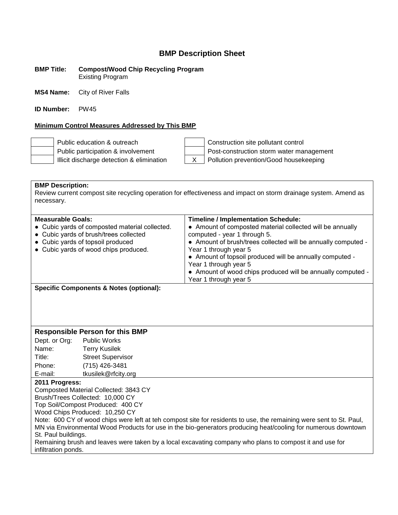**BMP Title: Compost/Wood Chip Recycling Program** Existing Program

**MS4 Name:** City of River Falls

**ID Number:** PW45

### **Minimum Control Measures Addressed by This BMP**

| Public education & outreach               | Construction site pollutant control      |
|-------------------------------------------|------------------------------------------|
| Public participation & involvement        | Post-construction storm water management |
| Illicit discharge detection & elimination | Pollution prevention/Good housekeeping   |

**BMP Description:** Review current compost site recycling operation for effectiveness and impact on storm drainage system. Amend as necessary.

| <b>Measurable Goals:</b><br><b>Timeline / Implementation Schedule:</b><br>• Cubic yards of composted material collected.<br>• Amount of composted material collected will be annually<br>• Cubic yards of brush/trees collected<br>computed - year 1 through 5.<br>• Cubic yards of topsoil produced<br>• Amount of brush/trees collected will be annually computed -<br>• Cubic yards of wood chips produced.<br>Year 1 through year 5<br>• Amount of topsoil produced will be annually computed -<br>Year 1 through year 5<br>• Amount of wood chips produced will be annually computed - |
|---------------------------------------------------------------------------------------------------------------------------------------------------------------------------------------------------------------------------------------------------------------------------------------------------------------------------------------------------------------------------------------------------------------------------------------------------------------------------------------------------------------------------------------------------------------------------------------------|
| Year 1 through year 5                                                                                                                                                                                                                                                                                                                                                                                                                                                                                                                                                                       |

**Specific Components & Notes (optional):**

### **Responsible Person for this BMP**

Dept. or Org: Public Works Name: Terry Kusilek Title: Street Supervisor Phone: (715) 426-3481 E-mail: tkusilek@rfcity.org

### **2011 Progress:**

Composted Material Collected: 3843 CY Brush/Trees Collected: 10,000 CY

Top Soil/Compost Produced: 400 CY

Wood Chips Produced: 10,250 CY

Note: 600 CY of wood chips were left at teh compost site for residents to use, the remaining were sent to St. Paul, MN via Environmental Wood Products for use in the bio-generators producing heat/cooling for numerous downtown St. Paul buildings.

Remaining brush and leaves were taken by a local excavating company who plans to compost it and use for infiltration ponds.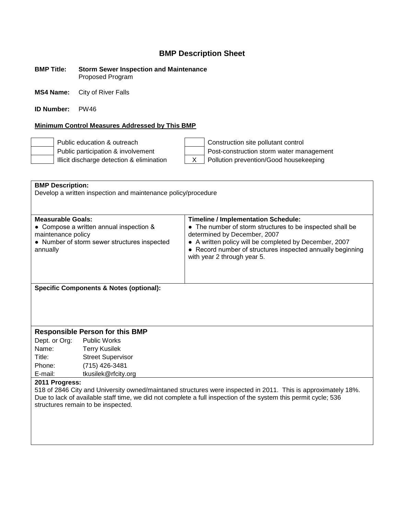#### **BMP Title: Storm Sewer Inspection and Maintenance** Proposed Program

**MS4 Name:** City of River Falls

**ID Number:** PW46

### **Minimum Control Measures Addressed by This BMP**

Public education & outreach Construction site pollutant control Public participation & involvement Post-construction storm water management Illicit discharge detection & elimination  $\begin{vmatrix} x \\ y \end{vmatrix}$  Pollution prevention/Good housekeeping

| <b>BMP Description:</b>                                                                                         |                                                                        |                                                            |  |  |  |
|-----------------------------------------------------------------------------------------------------------------|------------------------------------------------------------------------|------------------------------------------------------------|--|--|--|
| Develop a written inspection and maintenance policy/procedure                                                   |                                                                        |                                                            |  |  |  |
|                                                                                                                 |                                                                        |                                                            |  |  |  |
|                                                                                                                 |                                                                        |                                                            |  |  |  |
|                                                                                                                 | <b>Measurable Goals:</b><br><b>Timeline / Implementation Schedule:</b> |                                                            |  |  |  |
| • Compose a written annual inspection &                                                                         |                                                                        | • The number of storm structures to be inspected shall be  |  |  |  |
| maintenance policy                                                                                              |                                                                        | determined by December, 2007                               |  |  |  |
|                                                                                                                 | • Number of storm sewer structures inspected                           | • A written policy will be completed by December, 2007     |  |  |  |
| annually                                                                                                        |                                                                        | • Record number of structures inspected annually beginning |  |  |  |
|                                                                                                                 |                                                                        | with year 2 through year 5.                                |  |  |  |
|                                                                                                                 |                                                                        |                                                            |  |  |  |
|                                                                                                                 |                                                                        |                                                            |  |  |  |
|                                                                                                                 |                                                                        |                                                            |  |  |  |
|                                                                                                                 | <b>Specific Components &amp; Notes (optional):</b>                     |                                                            |  |  |  |
|                                                                                                                 |                                                                        |                                                            |  |  |  |
|                                                                                                                 |                                                                        |                                                            |  |  |  |
|                                                                                                                 |                                                                        |                                                            |  |  |  |
|                                                                                                                 |                                                                        |                                                            |  |  |  |
|                                                                                                                 | <b>Responsible Person for this BMP</b>                                 |                                                            |  |  |  |
| Dept. or Org: Public Works                                                                                      |                                                                        |                                                            |  |  |  |
| Name:                                                                                                           | <b>Terry Kusilek</b>                                                   |                                                            |  |  |  |
| Title:                                                                                                          | <b>Street Supervisor</b>                                               |                                                            |  |  |  |
| Phone:                                                                                                          | (715) 426-3481                                                         |                                                            |  |  |  |
| E-mail:                                                                                                         | tkusilek@rfcity.org                                                    |                                                            |  |  |  |
| 2011 Progress:                                                                                                  |                                                                        |                                                            |  |  |  |
| 518 of 2846 City and University owned/maintaned structures were inspected in 2011. This is approximately 18%.   |                                                                        |                                                            |  |  |  |
| Due to lack of available staff time, we did not complete a full inspection of the system this permit cycle; 536 |                                                                        |                                                            |  |  |  |
| structures remain to be inspected.                                                                              |                                                                        |                                                            |  |  |  |
|                                                                                                                 |                                                                        |                                                            |  |  |  |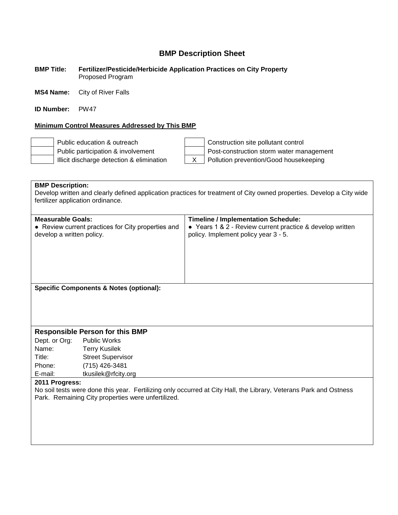#### **BMP Title: Fertilizer/Pesticide/Herbicide Application Practices on City Property** Proposed Program

**MS4 Name:** City of River Falls

**ID Number:** PW47

### **Minimum Control Measures Addressed by This BMP**

Public education & outreach Construction site pollutant control Public participation & involvement  $\vert$  Post-construction storm water management Illicit discharge detection & elimination X Pollution prevention/Good housekeeping

**BMP Description:** Develop written and clearly defined application practices for treatment of City owned properties. Develop a City wide fertilizer application ordinance. **Measurable Goals: Timeline / Implementation Schedule:** • Review current practices for City properties and develop a written policy. ● Years 1 & 2 - Review current practice & develop written policy. Implement policy year 3 - 5. **Specific Components & Notes (optional): Responsible Person for this BMP** Dept. or Org: Public Works Name: Terry Kusilek Title: Street Supervisor Phone: (715) 426-3481 E-mail: tkusilek@rfcity.org **2011 Progress:** No soil tests were done this year. Fertilizing only occurred at City Hall, the Library, Veterans Park and Ostness Park. Remaining City properties were unfertilized.